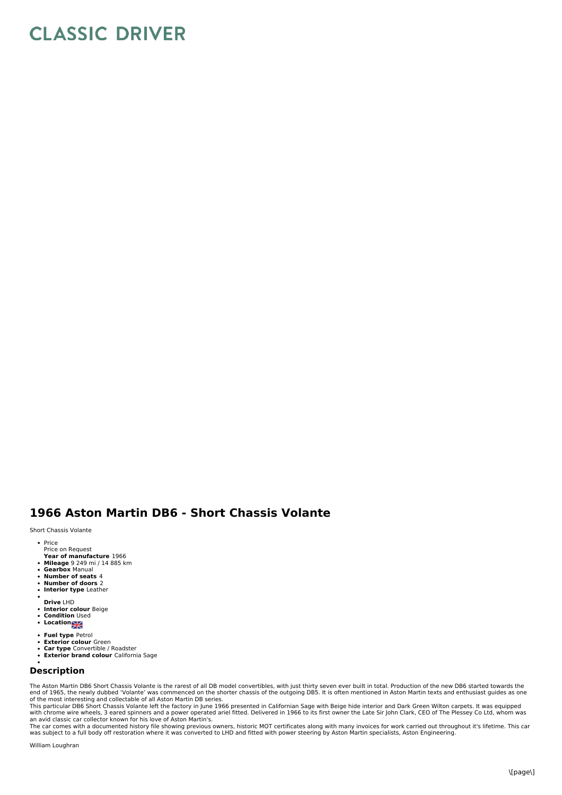## **CLASSIC DRIVER**

## **1966 Aston Martin DB6 - Short Chassis Volante**

Short Chassis Volante

- Price Price on Request
- **Year of manufacture** 1966
- **Mileage** 9 249 mi / 14 885 km
- **Gearbox** Manual
- $\bullet$ **Number of seats** 4
- **Number of doors** 2  $\ddot{\phantom{a}}$
- **Interior type** Leather
- **Drive** LHD
- **Interior colour** Beige **Condition** Used
- 
- **Location**
- **Fuel type** Petrol
- $\bullet$ **Exterior colour** Green **Car type** Convertible / Roadster  $\ddot{\phantom{0}}$
- $\bullet$ **Exterior brand colour** California Sage
- 

## **Description**

The Aston Martin DB6 Short Chassis Volante is the rarest of all DB model convertibles, with just thirty seven ever built in total. Production of the new DB6 started towards the<br>end of 1965, the newly dubbed 'Volante' was c

of the most interesting and collectable of all Aston Martin DB series.<br>This particular DB6 Short Chassis Volante left the factory in June 1966 presented in Californian Sage with Beige hide interior and Dark Green Wilton ca

## William Loughran